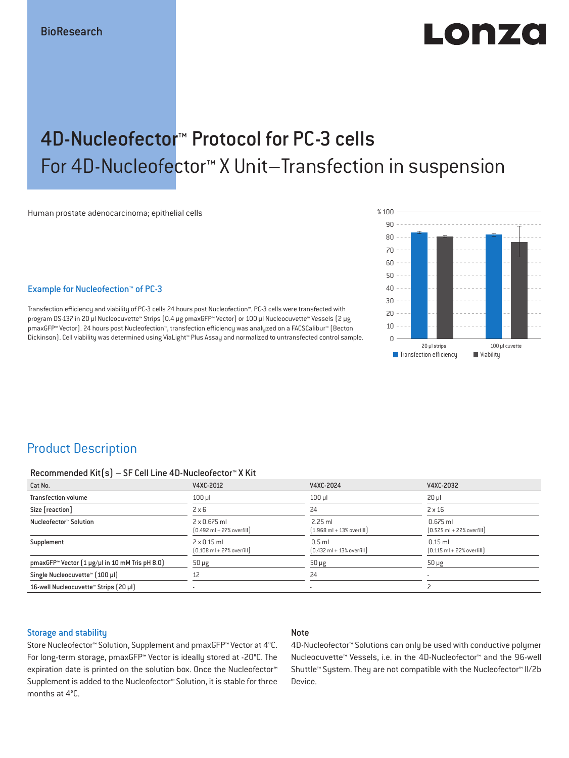# LONZO

## 4D-Nucleofector™ Protocol for PC-3 cells For 4D-Nucleofector™ X Unit–Transfection in suspension

Human prostate adenocarcinoma; epithelial cells

#### Example for Nucleofection™ of PC-3

Transfection efficiency and viability of PC-3 cells 24 hours post Nucleofection™. PC-3 cells were transfected with program DS-137 in 20 μl Nucleocuvette™ Strips (0.4 μg pmaxGFP™ Vector) or 100 μl Nucleocuvette™ Vessels (2 μg pmaxGFP™ Vector). 24 hours post Nucleofection™, transfection efficiency was analyzed on a FACSCalibur™ (Becton Dickinson). Cell viability was determined using ViaLight™ Plus Assay and normalized to untransfected control sample.



## Product Description

#### Recommended Kit(s) – SF Cell Line 4D-Nucleofector™ X Kit

| Cat No.                                                                              | V4XC-2012                                                           | V4XC-2024                                                 | V4XC-2032                                                  |
|--------------------------------------------------------------------------------------|---------------------------------------------------------------------|-----------------------------------------------------------|------------------------------------------------------------|
| <b>Transfection volume</b>                                                           | $100$ $\mu$                                                         | $100$ $\mu$                                               | $20 \mu$                                                   |
| Size [reaction]                                                                      | $2 \times 6$                                                        | 24                                                        | $2 \times 16$                                              |
| Nucleofector™ Solution                                                               | $2 \times 0.675$ ml<br>$[0.492 \text{ ml} + 27\% \text{ overfill}]$ | $2.25$ ml<br>$[1.968 \text{ ml} + 13\% \text{ overfill}]$ | $0.675$ ml<br>$[0.525 \text{ ml} + 22\% \text{ overfill}]$ |
| Supplement                                                                           | $2 \times 0.15$ ml<br>$[0.108 \text{ ml} + 27\% \text{ overfill}]$  | $0.5$ ml<br>$[0.432 \text{ ml} + 13\% \text{ overfill}]$  | $0.15$ ml<br>$[0.115 \text{ ml} + 22\% \text{ overfill}]$  |
| pmaxGFP <sup><math>\approx</math></sup> Vector $[1 \mu g/\mu]$ in 10 mM Tris pH 8.0) | $50 \mu g$                                                          | $50 \mu g$                                                | $50 \mu g$                                                 |
| Single Nucleocuvette™ [100 µl]                                                       | 12                                                                  | 24                                                        |                                                            |
| 16-well Nucleocuvette™ Strips [20 µl]                                                |                                                                     | $\overline{\phantom{a}}$                                  |                                                            |

#### Storage and stability

#### Note

Store Nucleofector™ Solution, Supplement and pmaxGFP™ Vector at 4°C. For long-term storage, pmaxGFP™ Vector is ideally stored at -20°C. The expiration date is printed on the solution box. Once the Nucleofector™ Supplement is added to the Nucleofector™ Solution, it is stable for three months at 4°C.

4D-Nucleofector™ Solutions can only be used with conductive polymer Nucleocuvette™ Vessels, i.e. in the 4D-Nucleofector™ and the 96-well Shuttle™ System. They are not compatible with the Nucleofector™ II/2b Device.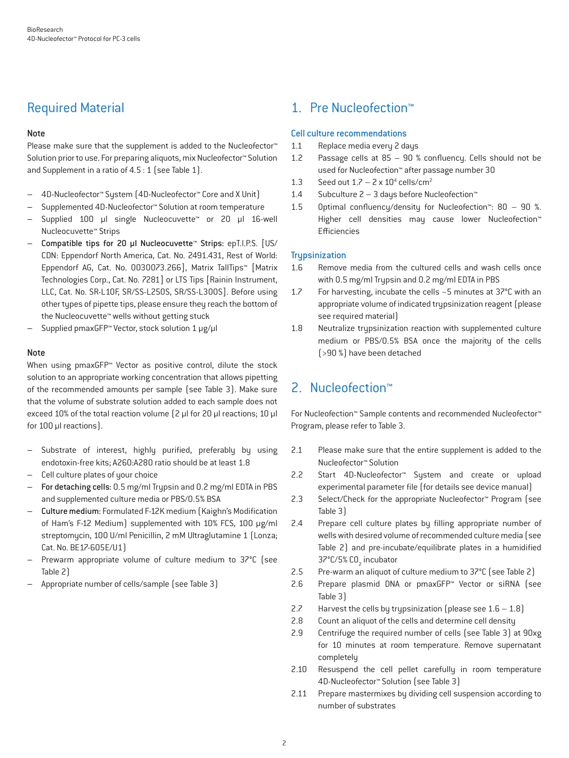## Required Material

#### Note

Please make sure that the supplement is added to the Nucleofector<sup>™</sup> Solution prior to use. For preparing aliquots, mix Nucleofector™ Solution and Supplement in a ratio of 4.5 : 1 (see Table 1).

- 4D-Nucleofector™ System (4D-Nucleofector™ Core and X Unit)
- Supplemented 4D-Nucleofector™ Solution at room temperature
- Supplied 100 µl single Nucleocuvette™ or 20 µl 16-well Nucleocuvette™ Strips
- Compatible tips for 20 µl Nucleocuvette™ Strips: epT.I.P.S. [US/ CDN: Eppendorf North America, Cat. No. 2491.431, Rest of World: Eppendorf AG, Cat. No. 0030073.266], Matrix TallTips™ [Matrix Technologies Corp., Cat. No. 7281] or LTS Tips [Rainin Instrument, LLC, Cat. No. SR-L10F, SR/SS-L250S, SR/SS-L300S]. Before using other types of pipette tips, please ensure they reach the bottom of the Nucleocuvette™ wells without getting stuck
- Supplied pmaxGFP™ Vector, stock solution 1 μg/μl

#### Note

When using pmaxGFP™ Vector as positive control, dilute the stock solution to an appropriate working concentration that allows pipetting of the recommended amounts per sample (see Table 3). Make sure that the volume of substrate solution added to each sample does not exceed 10% of the total reaction volume (2 μl for 20 μl reactions; 10 μl for 100 μl reactions).

- Substrate of interest, highly purified, preferably by using endotoxin-free kits; A260:A280 ratio should be at least 1.8
- Cell culture plates of your choice
- For detaching cells: 0.5 mg/ml Trypsin and 0.2 mg/ml EDTA in PBS and supplemented culture media or PBS/0.5% BSA
- Culture medium: Formulated F-12K medium (Kaighn's Modification of Ham's F-12 Medium) supplemented with 10% FCS, 100 μg/ml streptomycin, 100 U/ml Penicillin, 2 mM Ultraglutamine 1 (Lonza; Cat. No. BE17-605E/U1)
- Prewarm appropriate volume of culture medium to 37°C (see Table 2)
- Appropriate number of cells/sample (see Table 3)

## 1. Pre Nucleofection™

#### Cell culture recommendations

- 1.1 Replace media every 2 days
- 1.2 Passage cells at  $85 90$  % confluency. Cells should not be used for Nucleofection™ after passage number 30
- 1.3 Seed out  $1.7 2 \times 10^4$  cells/cm<sup>2</sup>
- 1.4 Subculture 2 3 days before Nucleofection™
- 1.5 Optimal confluency/density for Nucleofection™: 80 90 %. Higher cell densities may cause lower Nucleofection™ Efficiencies

#### **Trupsinization**

- 1.6 Remove media from the cultured cells and wash cells once with 0.5 mg/ml Trypsin and 0.2 mg/ml EDTA in PBS
- 1.7 For harvesting, incubate the cells ~5 minutes at 37°C with an appropriate volume of indicated trypsinization reagent (please see required material)
- 1.8 Neutralize trypsinization reaction with supplemented culture medium or PBS/0.5% BSA once the majority of the cells (>90 %) have been detached

## 2. Nucleofection™

For Nucleofection™ Sample contents and recommended Nucleofector™ Program, please refer to Table 3.

- 2.1 Please make sure that the entire supplement is added to the Nucleofector™ Solution
- 2.2 Start 4D-Nucleofector™ System and create or upload experimental parameter file (for details see device manual)
- 2.3 Select/Check for the appropriate Nucleofector™ Program (see Table 3)
- 2.4 Prepare cell culture plates by filling appropriate number of wells with desired volume of recommended culture media (see Table 2) and pre-incubate/equilibrate plates in a humidified 37°C/5% CO<sub>2</sub> incubator
- 2.5 Pre-warm an aliquot of culture medium to 37°C (see Table 2)
- 2.6 Prepare plasmid DNA or pmaxGFP™ Vector or siRNA (see Table 3)
- 2.7 Harvest the cells by trypsinization (please see  $1.6 1.8$ )
- 2.8 Count an aliquot of the cells and determine cell density
- 2.9 Centrifuge the required number of cells (see Table 3) at 90xg for 10 minutes at room temperature. Remove supernatant completely
- 2.10 Resuspend the cell pellet carefully in room temperature 4D-Nucleofector™ Solution (see Table 3)
- 2.11 Prepare mastermixes by dividing cell suspension according to number of substrates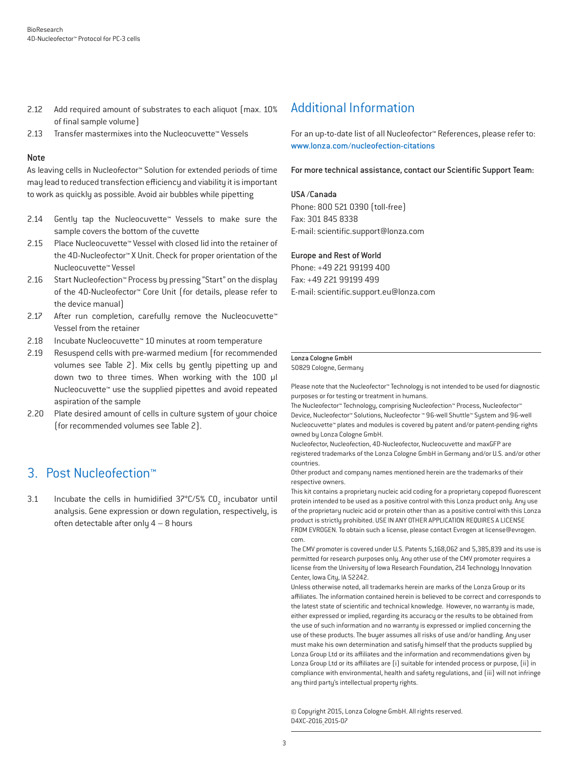- 2.12 Add required amount of substrates to each aliquot (max. 10%) of final sample volume)
- 2.13 Transfer mastermixes into the Nucleocuvette™ Vessels

#### Note

As leaving cells in Nucleofector™ Solution for extended periods of time may lead to reduced transfection efficiency and viability it is important to work as quickly as possible. Avoid air bubbles while pipetting

- 2.14 Gently tap the Nucleocuvette™ Vessels to make sure the sample covers the bottom of the cuvette
- 2.15 Place Nucleocuvette™ Vessel with closed lid into the retainer of the 4D-Nucleofector™ X Unit. Check for proper orientation of the Nucleocuvette™ Vessel
- 2.16 Start Nucleofection™ Process by pressing "Start" on the display of the 4D-Nucleofector™ Core Unit (for details, please refer to the device manual)
- 2.17 After run completion, carefully remove the Nucleocuvette™ Vessel from the retainer
- 2.18 Incubate Nucleocuvette™ 10 minutes at room temperature
- 2.19 Resuspend cells with pre-warmed medium (for recommended volumes see Table 2). Mix cells by gently pipetting up and down two to three times. When working with the 100 µl Nucleocuvette™ use the supplied pipettes and avoid repeated aspiration of the sample
- 2.20 Plate desired amount of cells in culture system of your choice (for recommended volumes see Table 2).

### 3. Post Nucleofection™

3.1 Incubate the cells in humidified  $37^{\circ}$ C/5% CO<sub>2</sub> incubator until analysis. Gene expression or down regulation, respectively, is often detectable after only 4 – 8 hours

## Additional Information

For an up-to-date list of all Nucleofector™ References, please refer to: www.lonza.com/nucleofection-citations

For more technical assistance, contact our Scientific Support Team:

#### USA /Canada

Phone: 800 521 0390 (toll-free) Fax: 301 845 8338 E-mail: scientic.support@lonza.com

#### Europe and Rest of World

Phone: +49 221 99199 400 Fax: +49 221 99199 499 E-mail: scientific.support.eu@lonza.com

#### Lonza Cologne GmbH

50829 Cologne, Germany

Please note that the Nucleofector™ Technology is not intended to be used for diagnostic purposes or for testing or treatment in humans.

The Nucleofector™ Technology, comprising Nucleofection™ Process, Nucleofector™ Device, Nucleofector™ Solutions, Nucleofector ™ 96-well Shuttle™ System and 96-well Nucleocuvette™ plates and modules is covered by patent and/or patent-pending rights owned by Lonza Cologne GmbH.

Nucleofector, Nucleofection, 4D-Nucleofector, Nucleocuvette and maxGFP are registered trademarks of the Lonza Cologne GmbH in Germany and/or U.S. and/or other countries.

Other product and company names mentioned herein are the trademarks of their respective owners.

This kit contains a proprietary nucleic acid coding for a proprietary copepod fluorescent protein intended to be used as a positive control with this Lonza product only. Any use of the proprietary nucleic acid or protein other than as a positive control with this Lonza product is strictly prohibited. USE IN ANY OTHER APPLICATION REQUIRES A LICENSE FROM EVROGEN. To obtain such a license, please contact Evrogen at license@evrogen. com.

The CMV promoter is covered under U.S. Patents 5,168,062 and 5,385,839 and its use is permitted for research purposes only. Any other use of the CMV promoter requires a license from the University of Iowa Research Foundation, 214 Technology Innovation Center, Iowa City, IA 52242.

Unless otherwise noted, all trademarks herein are marks of the Lonza Group or its affiliates. The information contained herein is believed to be correct and corresponds to the latest state of scientific and technical knowledge. However, no warranty is made, either expressed or implied, regarding its accuracy or the results to be obtained from the use of such information and no warranty is expressed or implied concerning the use of these products. The buyer assumes all risks of use and/or handling. Any user must make his own determination and satisfy himself that the products supplied by Lonza Group Ltd or its affiliates and the information and recommendations given by Lonza Group Ltd or its affiliates are (i) suitable for intended process or purpose, (ii) in compliance with environmental, health and safety regulations, and (iii) will not infringe any third party's intellectual property rights.

© Copyright 2015, Lonza Cologne GmbH. All rights reserved. D4XC-2016\_2015-07